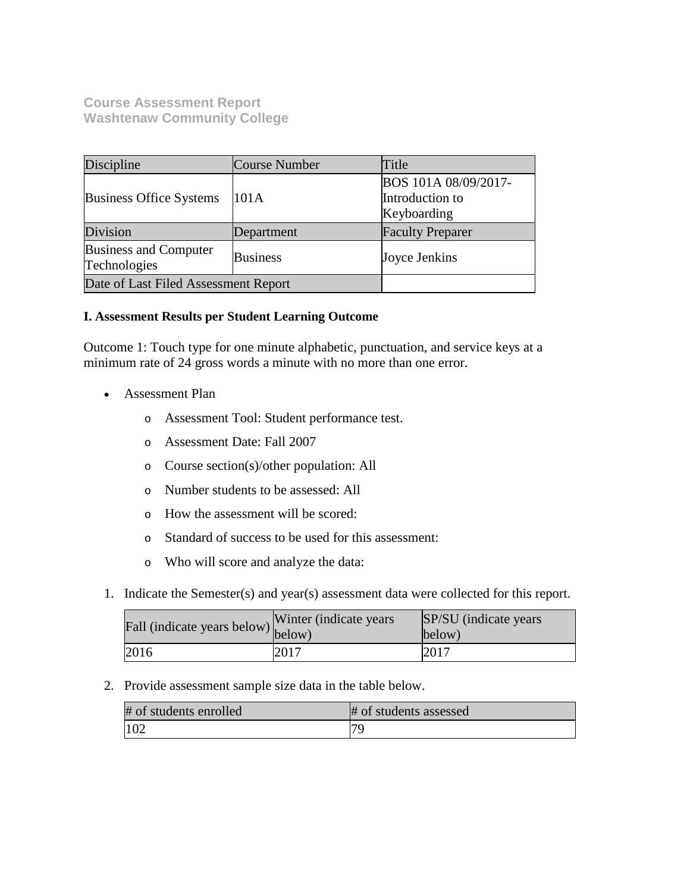**Course Assessment Report Washtenaw Community College**

| Discipline                            | Course Number   | Title                                                  |  |
|---------------------------------------|-----------------|--------------------------------------------------------|--|
| <b>Business Office Systems</b>        | 101A            | BOS 101A 08/09/2017-<br>Introduction to<br>Keyboarding |  |
| Division                              | Department      | <b>Faculty Preparer</b>                                |  |
| Business and Computer<br>Technologies | <b>Business</b> | Joyce Jenkins                                          |  |
| Date of Last Filed Assessment Report  |                 |                                                        |  |

## **I. Assessment Results per Student Learning Outcome**

Outcome 1: Touch type for one minute alphabetic, punctuation, and service keys at a minimum rate of 24 gross words a minute with no more than one error.

- Assessment Plan
	- o Assessment Tool: Student performance test.
	- o Assessment Date: Fall 2007
	- o Course section(s)/other population: All
	- o Number students to be assessed: All
	- o How the assessment will be scored:
	- o Standard of success to be used for this assessment:
	- o Who will score and analyze the data:
- 1. Indicate the Semester(s) and year(s) assessment data were collected for this report.

| Fall (indicate years below) $\begin{bmatrix} w \text{ inter} \\ below \end{bmatrix}$ | Winter (indicate years) | SP/SU (indicate years)<br>below) |
|--------------------------------------------------------------------------------------|-------------------------|----------------------------------|
| 2016                                                                                 | 2017                    | $201^{-}$                        |

2. Provide assessment sample size data in the table below.

| # of students enrolled | # of students assessed |
|------------------------|------------------------|
| 102                    |                        |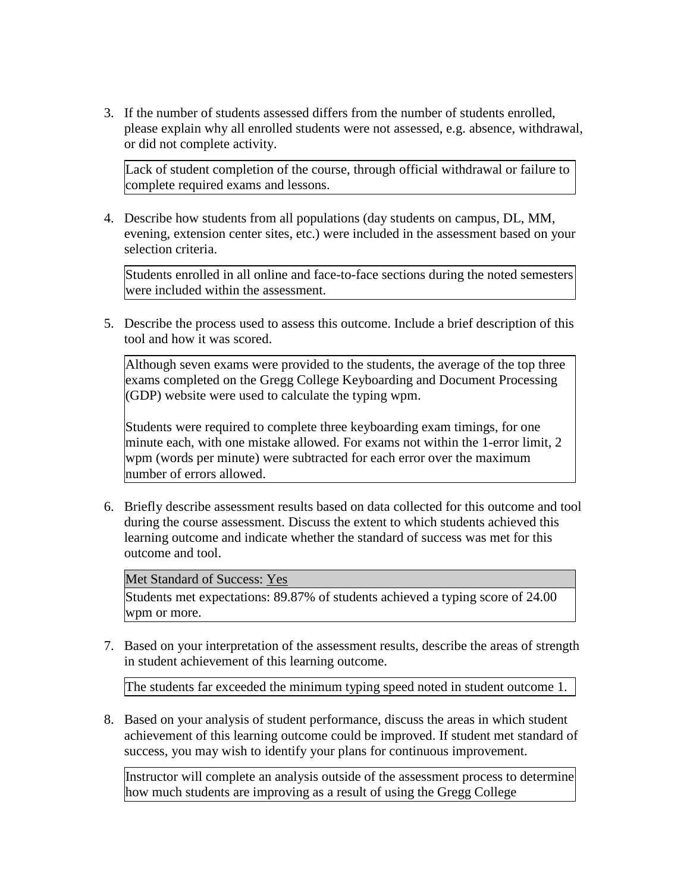3. If the number of students assessed differs from the number of students enrolled, please explain why all enrolled students were not assessed, e.g. absence, withdrawal, or did not complete activity.

Lack of student completion of the course, through official withdrawal or failure to complete required exams and lessons.

4. Describe how students from all populations (day students on campus, DL, MM, evening, extension center sites, etc.) were included in the assessment based on your selection criteria.

Students enrolled in all online and face-to-face sections during the noted semesters were included within the assessment.

5. Describe the process used to assess this outcome. Include a brief description of this tool and how it was scored.

Although seven exams were provided to the students, the average of the top three exams completed on the Gregg College Keyboarding and Document Processing (GDP) website were used to calculate the typing wpm.

Students were required to complete three keyboarding exam timings, for one minute each, with one mistake allowed. For exams not within the 1-error limit, 2 wpm (words per minute) were subtracted for each error over the maximum number of errors allowed.

6. Briefly describe assessment results based on data collected for this outcome and tool during the course assessment. Discuss the extent to which students achieved this learning outcome and indicate whether the standard of success was met for this outcome and tool.

Met Standard of Success: Yes

Students met expectations: 89.87% of students achieved a typing score of 24.00 wpm or more.

7. Based on your interpretation of the assessment results, describe the areas of strength in student achievement of this learning outcome.

The students far exceeded the minimum typing speed noted in student outcome 1.

8. Based on your analysis of student performance, discuss the areas in which student achievement of this learning outcome could be improved. If student met standard of success, you may wish to identify your plans for continuous improvement.

Instructor will complete an analysis outside of the assessment process to determine how much students are improving as a result of using the Gregg College